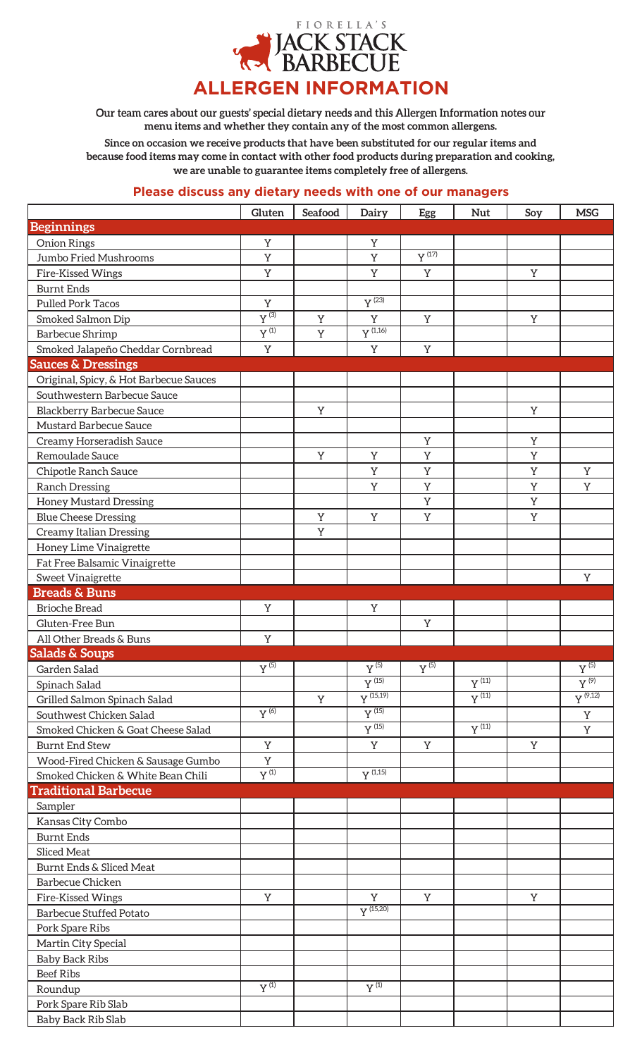

Our team cares about our guests' special dietary needs and this Allergen Information notes our **menu items and whether they contain any of the most common allergens.**

**Since on occasion we receive products that have been substituted for our regular items and because food items may come in contact with other food products during preparation and cooking, we are unable to guarantee items completely free of allergens.** 

## **Please discuss any dietary needs with one of our managers**

|                                        | Gluten                        | Seafood     | Dairy                          | Egg                            | <b>Nut</b>                     | Soy | <b>MSG</b>                    |
|----------------------------------------|-------------------------------|-------------|--------------------------------|--------------------------------|--------------------------------|-----|-------------------------------|
| <b>Beginnings</b>                      |                               |             |                                |                                |                                |     |                               |
| <b>Onion Rings</b>                     | $\mathbf Y$                   |             | Y                              |                                |                                |     |                               |
| Jumbo Fried Mushrooms                  | $\mathbf Y$                   |             | Y                              | $\overline{Y}$ <sup>(17)</sup> |                                |     |                               |
| Fire-Kissed Wings                      | $\mathbf Y$                   |             | Y                              | Y                              |                                | Y   |                               |
| <b>Burnt Ends</b>                      |                               |             |                                |                                |                                |     |                               |
| <b>Pulled Pork Tacos</b>               | $\mathbf Y$                   |             | $\overline{Y}$ <sup>(23)</sup> |                                |                                |     |                               |
| Smoked Salmon Dip                      | $\overline{Y^{(3)}}$          | $\mathbf Y$ | Y                              | Y                              |                                | Y   |                               |
| <b>Barbecue Shrimp</b>                 | $Y^{(1)}$                     | $\rm Y$     | $Y^{(1,16)}$                   |                                |                                |     |                               |
| Smoked Jalapeño Cheddar Cornbread      | $\mathbf Y$                   |             | Y                              | Y                              |                                |     |                               |
| <b>Sauces &amp; Dressings</b>          |                               |             |                                |                                |                                |     |                               |
| Original, Spicy, & Hot Barbecue Sauces |                               |             |                                |                                |                                |     |                               |
| Southwestern Barbecue Sauce            |                               |             |                                |                                |                                |     |                               |
| Blackberry Barbecue Sauce              |                               | Y           |                                |                                |                                | Y   |                               |
| <b>Mustard Barbecue Sauce</b>          |                               |             |                                |                                |                                |     |                               |
| Creamy Horseradish Sauce               |                               |             |                                | Y                              |                                | Y   |                               |
| Remoulade Sauce                        |                               | Y           | Y                              | Y                              |                                | Y   |                               |
| Chipotle Ranch Sauce                   |                               |             | Y                              | Y                              |                                | Y   | Y                             |
| <b>Ranch Dressing</b>                  |                               |             | Y                              | Y                              |                                | Y   | Y                             |
| <b>Honey Mustard Dressing</b>          |                               |             |                                | Y                              |                                | Y   |                               |
| <b>Blue Cheese Dressing</b>            |                               | Y           | Y                              | Y                              |                                | Y   |                               |
| <b>Creamy Italian Dressing</b>         |                               | Y           |                                |                                |                                |     |                               |
| Honey Lime Vinaigrette                 |                               |             |                                |                                |                                |     |                               |
| Fat Free Balsamic Vinaigrette          |                               |             |                                |                                |                                |     |                               |
| <b>Sweet Vinaigrette</b>               |                               |             |                                |                                |                                |     | Y                             |
| <b>Breads &amp; Buns</b>               |                               |             |                                |                                |                                |     |                               |
| <b>Brioche Bread</b>                   | Y                             |             | Y                              |                                |                                |     |                               |
| Gluten-Free Bun                        |                               |             |                                | Y                              |                                |     |                               |
| All Other Breads & Buns                | $\mathbf Y$                   |             |                                |                                |                                |     |                               |
| <b>Salads &amp; Soups</b>              |                               |             |                                |                                |                                |     |                               |
| Garden Salad                           | $\overline{Y}$ <sup>(5)</sup> |             | $V^{(5)}$                      | $y^{(5)}$                      |                                |     | $\overline{Y}$ <sup>(5)</sup> |
| Spinach Salad                          |                               |             | $\overline{Y}$ <sup>(15)</sup> |                                | $\overline{Y^{(11)}}$          |     | $Y^{(9)}$                     |
| Grilled Salmon Spinach Salad           |                               | Y           | $Y^{(15,19)}$                  |                                | $\overline{Y}$ <sup>(11)</sup> |     | $Y^{(9,12)}$                  |
| Southwest Chicken Salad                | $V^{(6)}$                     |             | $Y^{(15)}$                     |                                |                                |     | Y                             |
| Smoked Chicken & Goat Cheese Salad     |                               |             | $Y^{(15)}$                     |                                | $\overline{Y}^{(11)}$          |     | Y                             |
| <b>Burnt End Stew</b>                  | $\mathbf Y$                   |             | Y                              | Y                              |                                | Y   |                               |
| Wood-Fired Chicken & Sausage Gumbo     | Y                             |             |                                |                                |                                |     |                               |
| Smoked Chicken & White Bean Chili      | $Y^{(1)}$                     |             | $Y^{(1,15)}$                   |                                |                                |     |                               |
| <b>Traditional Barbecue</b>            |                               |             |                                |                                |                                |     |                               |
| Sampler                                |                               |             |                                |                                |                                |     |                               |
| Kansas City Combo                      |                               |             |                                |                                |                                |     |                               |
| <b>Burnt Ends</b>                      |                               |             |                                |                                |                                |     |                               |
| <b>Sliced Meat</b>                     |                               |             |                                |                                |                                |     |                               |
| Burnt Ends & Sliced Meat               |                               |             |                                |                                |                                |     |                               |
| <b>Barbecue Chicken</b>                |                               |             |                                |                                |                                |     |                               |
| Fire-Kissed Wings                      | Y                             |             | Y                              | Y                              |                                | Y   |                               |
| <b>Barbecue Stuffed Potato</b>         |                               |             | $Y^{(15,20)}$                  |                                |                                |     |                               |
| Pork Spare Ribs                        |                               |             |                                |                                |                                |     |                               |
| Martin City Special                    |                               |             |                                |                                |                                |     |                               |
| <b>Baby Back Ribs</b>                  |                               |             |                                |                                |                                |     |                               |
| <b>Beef Ribs</b>                       |                               |             |                                |                                |                                |     |                               |
| Roundup                                | $Y^{(1)}$                     |             | $Y^{(1)}$                      |                                |                                |     |                               |
| Pork Spare Rib Slab                    |                               |             |                                |                                |                                |     |                               |
| Baby Back Rib Slab                     |                               |             |                                |                                |                                |     |                               |